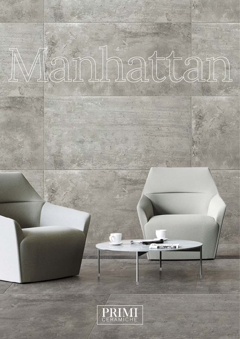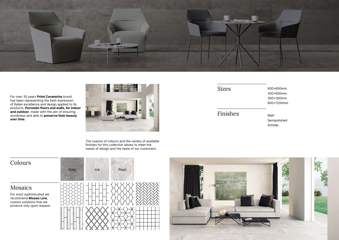Matt Semipolished Antislip

600x600mm 300x600mm 300x300mm 600x1200mm



For over 30 years Primi Ceramiche brand has been representing the best expression of Italian excellence and design applied to its products. Porcelain floors and walls, for indoor and outdoor, made with the aim of ensuring sturdiness and able to preserve their beauty over time.







The nuance of colours and the variety of available finishes for this collection allows to meet the needs of design and the taste of our customers.

Sizes

Finishes